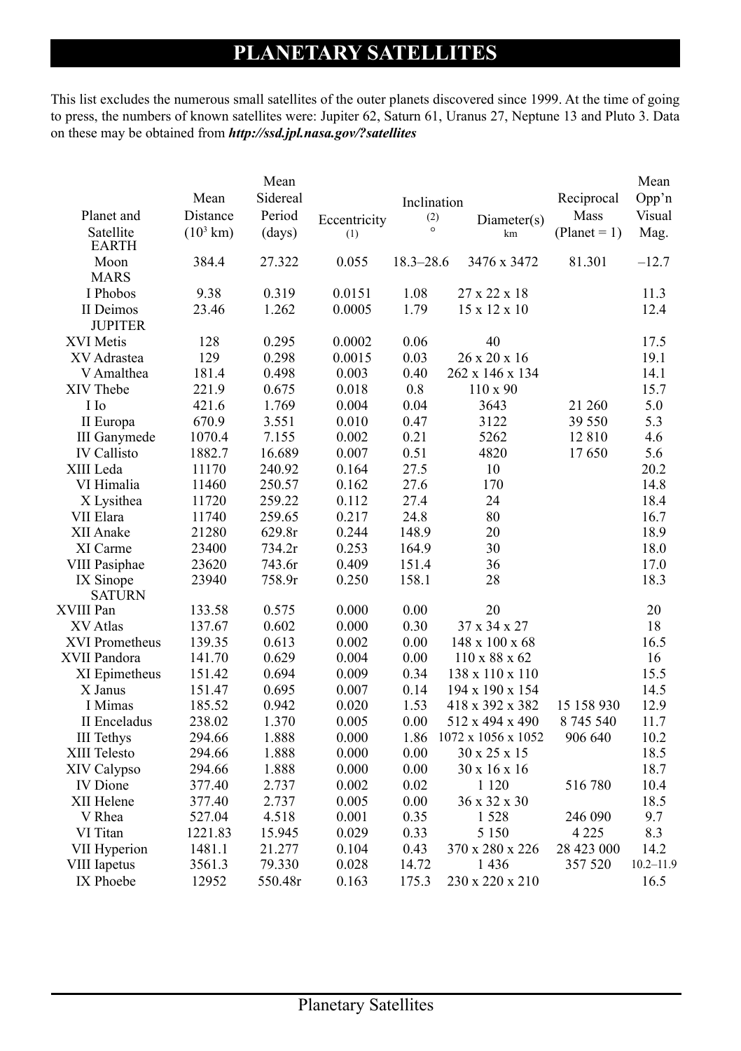## **Planetary Satellites**

This list excludes the numerous small satellites of the outer planets discovered since 1999. At the time of going to press, the numbers of known satellites were: Jupiter 62, Saturn 61, Uranus 27, Neptune 13 and Pluto 3. Data on these may be obtained from *http://ssd.jpl.nasa.gov/?satellites*

| Planet and<br>Satellite         | Mean<br>Distance<br>$(10^3 \text{ km})$ | Mean<br>Sidereal<br>Period<br>(days) | Eccentricity<br>(1) | Inclination<br>(2)<br>$\circ$ | Diameter(s)<br>km         | Reciprocal<br>Mass<br>$(Planet = 1)$ | Mean<br>Opp'n<br>Visual<br>Mag. |
|---------------------------------|-----------------------------------------|--------------------------------------|---------------------|-------------------------------|---------------------------|--------------------------------------|---------------------------------|
| <b>EARTH</b>                    |                                         |                                      |                     |                               |                           |                                      |                                 |
| Moon                            | 384.4                                   | 27.322                               | 0.055               | $18.3 - 28.6$                 | 3476 x 3472               | 81.301                               | $-12.7$                         |
| <b>MARS</b>                     |                                         |                                      |                     |                               |                           |                                      |                                 |
| I Phobos                        | 9.38                                    | 0.319                                | 0.0151              | 1.08                          | 27 x 22 x 18              |                                      | 11.3                            |
| II Deimos                       | 23.46                                   | 1.262                                | 0.0005              | 1.79                          | 15 x 12 x 10              |                                      | 12.4                            |
| <b>JUPITER</b>                  |                                         |                                      |                     |                               |                           |                                      |                                 |
| <b>XVI</b> Metis                | 128                                     | 0.295                                | 0.0002              | 0.06                          | 40                        |                                      | 17.5                            |
| XV Adrastea                     | 129                                     | 0.298                                | 0.0015              | 0.03                          | 26 x 20 x 16              |                                      | 19.1                            |
| V Amalthea                      | 181.4                                   | 0.498                                | 0.003               | 0.40                          | 262 x 146 x 134           |                                      | 14.1                            |
| XIV Thebe                       | 221.9                                   | 0.675                                | 0.018               | 0.8                           | $110 \times 90$           |                                      | 15.7                            |
| I Io                            | 421.6                                   | 1.769                                | 0.004               | 0.04                          | 3643                      | 21 260                               | 5.0                             |
| II Europa                       | 670.9                                   | 3.551                                | 0.010               | 0.47<br>0.21                  | 3122                      | 39 550                               | 5.3                             |
| <b>III</b> Ganymede             | 1070.4                                  | 7.155                                | 0.002               | 0.51                          | 5262<br>4820              | 12 810                               | 4.6<br>5.6                      |
| <b>IV</b> Callisto<br>XIII Leda | 1882.7                                  | 16.689                               | 0.007               | 27.5                          | 10                        | 17650                                | 20.2                            |
| VI Himalia                      | 11170<br>11460                          | 240.92                               | 0.164<br>0.162      | 27.6                          | 170                       |                                      | 14.8                            |
|                                 | 11720                                   | 250.57<br>259.22                     | 0.112               | 27.4                          | 24                        |                                      | 18.4                            |
| X Lysithea<br>VII Elara         | 11740                                   | 259.65                               | 0.217               | 24.8                          | 80                        |                                      | 16.7                            |
| XII Anake                       | 21280                                   | 629.8r                               | 0.244               | 148.9                         | 20                        |                                      | 18.9                            |
| XI Carme                        | 23400                                   | 734.2r                               | 0.253               | 164.9                         | 30                        |                                      | 18.0                            |
| VIII Pasiphae                   | 23620                                   | 743.6r                               | 0.409               | 151.4                         | 36                        |                                      | 17.0                            |
| IX Sinope                       | 23940                                   | 758.9r                               | 0.250               | 158.1                         | 28                        |                                      | 18.3                            |
| <b>SATURN</b>                   |                                         |                                      |                     |                               |                           |                                      |                                 |
| XVIII Pan                       | 133.58                                  | 0.575                                | 0.000               | 0.00                          | 20                        |                                      | 20                              |
| XV Atlas                        | 137.67                                  | 0.602                                | 0.000               | 0.30                          | 37 x 34 x 27              |                                      | 18                              |
| <b>XVI Prometheus</b>           | 139.35                                  | 0.613                                | 0.002               | 0.00                          | 148 x 100 x 68            |                                      | 16.5                            |
| XVII Pandora                    | 141.70                                  | 0.629                                | 0.004               | 0.00                          | $110 \times 88 \times 62$ |                                      | 16                              |
| XI Epimetheus                   | 151.42                                  | 0.694                                | 0.009               | 0.34                          | 138 x 110 x 110           |                                      | 15.5                            |
| X Janus                         | 151.47                                  | 0.695                                | 0.007               | 0.14                          | 194 x 190 x 154           |                                      | 14.5                            |
| I Mimas                         | 185.52                                  | 0.942                                | 0.020               | 1.53                          | 418 x 392 x 382           | 15 158 930                           | 12.9                            |
| II Enceladus                    | 238.02                                  | 1.370                                | 0.005               | 0.00                          | 512 x 494 x 490           | 8 745 540                            | 11.7                            |
| <b>III</b> Tethys               | 294.66                                  | 1.888                                | 0.000               | 1.86                          | 1072 x 1056 x 1052        | 906 640                              | 10.2                            |
| XIII Telesto                    | 294.66                                  | 1.888                                | 0.000               | 0.00                          | 30 x 25 x 15              |                                      | 18.5                            |
| XIV Calypso                     | 294.66                                  | 1.888                                | 0.000               | 0.00                          | $30 \times 16 \times 16$  |                                      | 18.7                            |
| <b>IV</b> Dione                 | 377.40                                  | 2.737                                | 0.002               | 0.02                          | 1 1 2 0                   | 516780                               | 10.4                            |
| XII Helene                      | 377.40                                  | 2.737                                | 0.005               | 0.00                          | 36 x 32 x 30              |                                      | 18.5                            |
| V Rhea                          | 527.04                                  | 4.518                                | 0.001               | 0.35                          | 1528                      | 246 090                              | 9.7                             |
| VI Titan                        | 1221.83                                 | 15.945                               | 0.029               | 0.33                          | 5 1 5 0                   | 4 2 2 5                              | 8.3                             |
| VII Hyperion                    | 1481.1                                  | 21.277                               | 0.104               | 0.43                          | 370 x 280 x 226           | 28 423 000                           | 14.2                            |
| VIII Iapetus                    | 3561.3                                  | 79.330                               | 0.028               | 14.72                         | 1436                      | 357 520                              | $10.2 - 11.9$                   |
| IX Phoebe                       | 12952                                   | 550.48r                              | 0.163               | 175.3                         | 230 x 220 x 210           |                                      | 16.5                            |